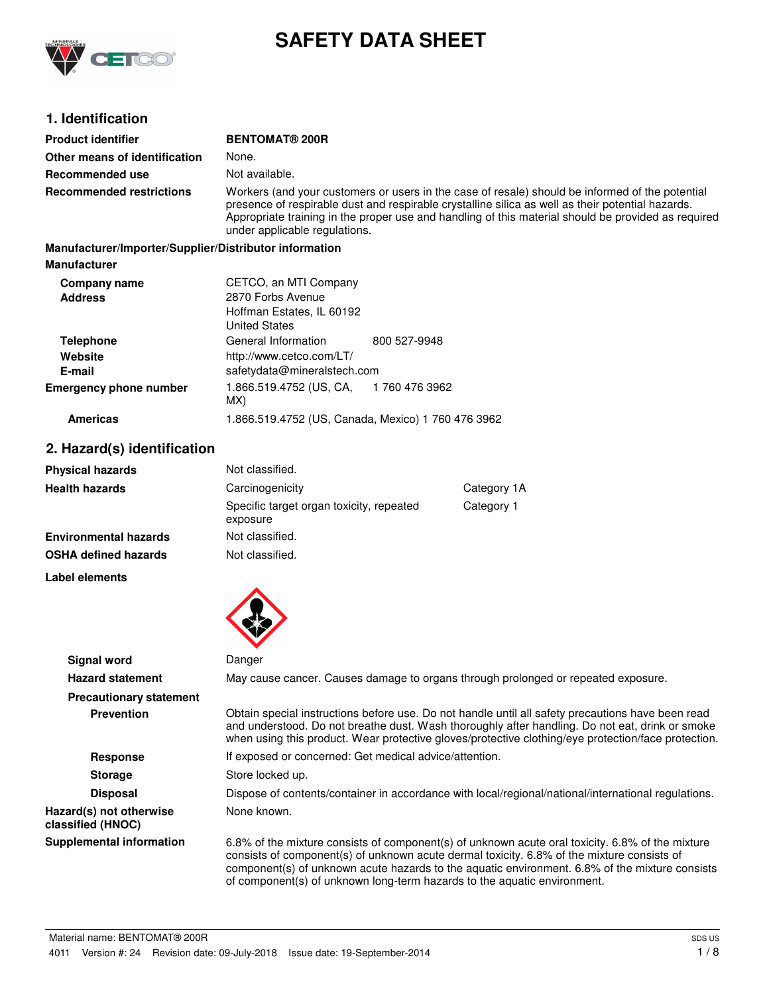

# **SAFETY DATA SHEET**

# **1. Identification**

| <b>Product identifier</b>                              | <b>BENTOMAT® 200R</b>                                                  |                                                                                                                                                                                                                                                                                                             |
|--------------------------------------------------------|------------------------------------------------------------------------|-------------------------------------------------------------------------------------------------------------------------------------------------------------------------------------------------------------------------------------------------------------------------------------------------------------|
| Other means of identification                          | None.                                                                  |                                                                                                                                                                                                                                                                                                             |
| Recommended use                                        | Not available.                                                         |                                                                                                                                                                                                                                                                                                             |
| <b>Recommended restrictions</b>                        | under applicable regulations.                                          | Workers (and your customers or users in the case of resale) should be informed of the potential<br>presence of respirable dust and respirable crystalline silica as well as their potential hazards.<br>Appropriate training in the proper use and handling of this material should be provided as required |
| Manufacturer/Importer/Supplier/Distributor information |                                                                        |                                                                                                                                                                                                                                                                                                             |
| Manufacturer                                           |                                                                        |                                                                                                                                                                                                                                                                                                             |
| Company name                                           | CETCO, an MTI Company                                                  |                                                                                                                                                                                                                                                                                                             |
| <b>Address</b>                                         | 2870 Forbs Avenue<br>Hoffman Estates, IL 60192<br><b>United States</b> |                                                                                                                                                                                                                                                                                                             |
| <b>Telephone</b>                                       | General Information                                                    | 800 527-9948                                                                                                                                                                                                                                                                                                |
| Website                                                | http://www.cetco.com/LT/                                               |                                                                                                                                                                                                                                                                                                             |
| E-mail                                                 | safetydata@mineralstech.com                                            |                                                                                                                                                                                                                                                                                                             |
| Emergency phone number                                 | 1.866.519.4752 (US, CA,<br>MX)                                         | 1 760 476 3962                                                                                                                                                                                                                                                                                              |

# **Americas** 1.866.519.4752 (US, Canada, Mexico) 1 760 476 3962

# **2. Hazard(s) identification**

| <b>Physical hazards</b>      | Not classified.                                      |            |
|------------------------------|------------------------------------------------------|------------|
| <b>Health hazards</b>        | Carcinogenicity<br>Category 1A                       |            |
|                              | Specific target organ toxicity, repeated<br>exposure | Category 1 |
| <b>Environmental hazards</b> | Not classified.                                      |            |
| <b>OSHA defined hazards</b>  | Not classified.                                      |            |

**Label elements**



|                                              | $\bullet$                                                                                                                                                                                                                                                                                                                                                                    |
|----------------------------------------------|------------------------------------------------------------------------------------------------------------------------------------------------------------------------------------------------------------------------------------------------------------------------------------------------------------------------------------------------------------------------------|
| Signal word                                  | Danger                                                                                                                                                                                                                                                                                                                                                                       |
| <b>Hazard statement</b>                      | May cause cancer. Causes damage to organs through prolonged or repeated exposure.                                                                                                                                                                                                                                                                                            |
| <b>Precautionary statement</b>               |                                                                                                                                                                                                                                                                                                                                                                              |
| <b>Prevention</b>                            | Obtain special instructions before use. Do not handle until all safety precautions have been read<br>and understood. Do not breathe dust. Wash thoroughly after handling. Do not eat, drink or smoke<br>when using this product. Wear protective gloves/protective clothing/eye protection/face protection.                                                                  |
| <b>Response</b>                              | If exposed or concerned: Get medical advice/attention.                                                                                                                                                                                                                                                                                                                       |
| <b>Storage</b>                               | Store locked up.                                                                                                                                                                                                                                                                                                                                                             |
| <b>Disposal</b>                              | Dispose of contents/container in accordance with local/regional/national/international regulations.                                                                                                                                                                                                                                                                          |
| Hazard(s) not otherwise<br>classified (HNOC) | None known.                                                                                                                                                                                                                                                                                                                                                                  |
| <b>Supplemental information</b>              | 6.8% of the mixture consists of component(s) of unknown acute oral toxicity. 6.8% of the mixture<br>consists of component(s) of unknown acute dermal toxicity. 6.8% of the mixture consists of<br>component(s) of unknown acute hazards to the aquatic environment. 6.8% of the mixture consists<br>of component(s) of unknown long-term hazards to the aquatic environment. |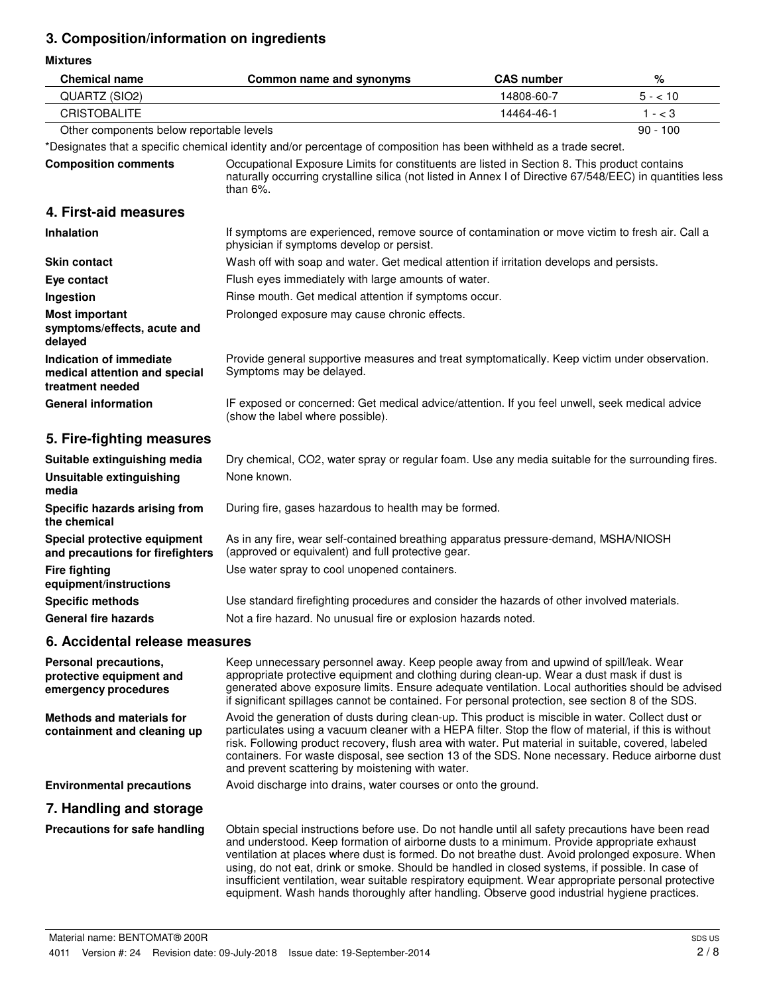# **3. Composition/information on ingredients**

**Mixtures**

| <b>Chemical name</b>                                                         | Common name and synonyms                                                                                                                                                                                                                                                                                                                                                                                                                                                                                                                                                                                    | <b>CAS number</b> | $\%$       |
|------------------------------------------------------------------------------|-------------------------------------------------------------------------------------------------------------------------------------------------------------------------------------------------------------------------------------------------------------------------------------------------------------------------------------------------------------------------------------------------------------------------------------------------------------------------------------------------------------------------------------------------------------------------------------------------------------|-------------------|------------|
| QUARTZ (SIO2)                                                                |                                                                                                                                                                                                                                                                                                                                                                                                                                                                                                                                                                                                             | 14808-60-7        | $5 - 10$   |
| <b>CRISTOBALITE</b>                                                          |                                                                                                                                                                                                                                                                                                                                                                                                                                                                                                                                                                                                             | 14464-46-1        | $1 - < 3$  |
| Other components below reportable levels                                     |                                                                                                                                                                                                                                                                                                                                                                                                                                                                                                                                                                                                             |                   | $90 - 100$ |
|                                                                              | *Designates that a specific chemical identity and/or percentage of composition has been withheld as a trade secret.                                                                                                                                                                                                                                                                                                                                                                                                                                                                                         |                   |            |
| <b>Composition comments</b>                                                  | Occupational Exposure Limits for constituents are listed in Section 8. This product contains<br>naturally occurring crystalline silica (not listed in Annex I of Directive 67/548/EEC) in quantities less<br>than $6\%$ .                                                                                                                                                                                                                                                                                                                                                                                   |                   |            |
| 4. First-aid measures                                                        |                                                                                                                                                                                                                                                                                                                                                                                                                                                                                                                                                                                                             |                   |            |
| <b>Inhalation</b>                                                            | If symptoms are experienced, remove source of contamination or move victim to fresh air. Call a<br>physician if symptoms develop or persist.                                                                                                                                                                                                                                                                                                                                                                                                                                                                |                   |            |
| <b>Skin contact</b>                                                          | Wash off with soap and water. Get medical attention if irritation develops and persists.                                                                                                                                                                                                                                                                                                                                                                                                                                                                                                                    |                   |            |
| Eye contact                                                                  | Flush eyes immediately with large amounts of water.                                                                                                                                                                                                                                                                                                                                                                                                                                                                                                                                                         |                   |            |
| Ingestion                                                                    | Rinse mouth. Get medical attention if symptoms occur.                                                                                                                                                                                                                                                                                                                                                                                                                                                                                                                                                       |                   |            |
| <b>Most important</b><br>symptoms/effects, acute and<br>delayed              | Prolonged exposure may cause chronic effects.                                                                                                                                                                                                                                                                                                                                                                                                                                                                                                                                                               |                   |            |
| Indication of immediate<br>medical attention and special<br>treatment needed | Provide general supportive measures and treat symptomatically. Keep victim under observation.<br>Symptoms may be delayed.                                                                                                                                                                                                                                                                                                                                                                                                                                                                                   |                   |            |
| <b>General information</b>                                                   | IF exposed or concerned: Get medical advice/attention. If you feel unwell, seek medical advice<br>(show the label where possible).                                                                                                                                                                                                                                                                                                                                                                                                                                                                          |                   |            |
| 5. Fire-fighting measures                                                    |                                                                                                                                                                                                                                                                                                                                                                                                                                                                                                                                                                                                             |                   |            |
| Suitable extinguishing media                                                 | Dry chemical, CO2, water spray or regular foam. Use any media suitable for the surrounding fires.                                                                                                                                                                                                                                                                                                                                                                                                                                                                                                           |                   |            |
| <b>Unsuitable extinguishing</b><br>media                                     | None known.                                                                                                                                                                                                                                                                                                                                                                                                                                                                                                                                                                                                 |                   |            |
| Specific hazards arising from<br>the chemical                                | During fire, gases hazardous to health may be formed.                                                                                                                                                                                                                                                                                                                                                                                                                                                                                                                                                       |                   |            |
| Special protective equipment<br>and precautions for firefighters             | As in any fire, wear self-contained breathing apparatus pressure-demand, MSHA/NIOSH<br>(approved or equivalent) and full protective gear.                                                                                                                                                                                                                                                                                                                                                                                                                                                                   |                   |            |
| <b>Fire fighting</b><br>equipment/instructions                               | Use water spray to cool unopened containers.                                                                                                                                                                                                                                                                                                                                                                                                                                                                                                                                                                |                   |            |
| <b>Specific methods</b>                                                      | Use standard firefighting procedures and consider the hazards of other involved materials.                                                                                                                                                                                                                                                                                                                                                                                                                                                                                                                  |                   |            |
| <b>General fire hazards</b>                                                  | Not a fire hazard. No unusual fire or explosion hazards noted.                                                                                                                                                                                                                                                                                                                                                                                                                                                                                                                                              |                   |            |
| 6. Accidental release measures                                               |                                                                                                                                                                                                                                                                                                                                                                                                                                                                                                                                                                                                             |                   |            |
| Personal precautions,<br>protective equipment and<br>emergency procedures    | Keep unnecessary personnel away. Keep people away from and upwind of spill/leak. Wear<br>appropriate protective equipment and clothing during clean-up. Wear a dust mask if dust is<br>generated above exposure limits. Ensure adequate ventilation. Local authorities should be advised<br>if significant spillages cannot be contained. For personal protection, see section 8 of the SDS.                                                                                                                                                                                                                |                   |            |
| <b>Methods and materials for</b><br>containment and cleaning up              | Avoid the generation of dusts during clean-up. This product is miscible in water. Collect dust or<br>particulates using a vacuum cleaner with a HEPA filter. Stop the flow of material, if this is without<br>risk. Following product recovery, flush area with water. Put material in suitable, covered, labeled<br>containers. For waste disposal, see section 13 of the SDS. None necessary. Reduce airborne dust<br>and prevent scattering by moistening with water.                                                                                                                                    |                   |            |
| <b>Environmental precautions</b>                                             | Avoid discharge into drains, water courses or onto the ground.                                                                                                                                                                                                                                                                                                                                                                                                                                                                                                                                              |                   |            |
| 7. Handling and storage                                                      |                                                                                                                                                                                                                                                                                                                                                                                                                                                                                                                                                                                                             |                   |            |
| Precautions for safe handling                                                | Obtain special instructions before use. Do not handle until all safety precautions have been read<br>and understood. Keep formation of airborne dusts to a minimum. Provide appropriate exhaust<br>ventilation at places where dust is formed. Do not breathe dust. Avoid prolonged exposure. When<br>using, do not eat, drink or smoke. Should be handled in closed systems, if possible. In case of<br>insufficient ventilation, wear suitable respiratory equipment. Wear appropriate personal protective<br>equipment. Wash hands thoroughly after handling. Observe good industrial hygiene practices. |                   |            |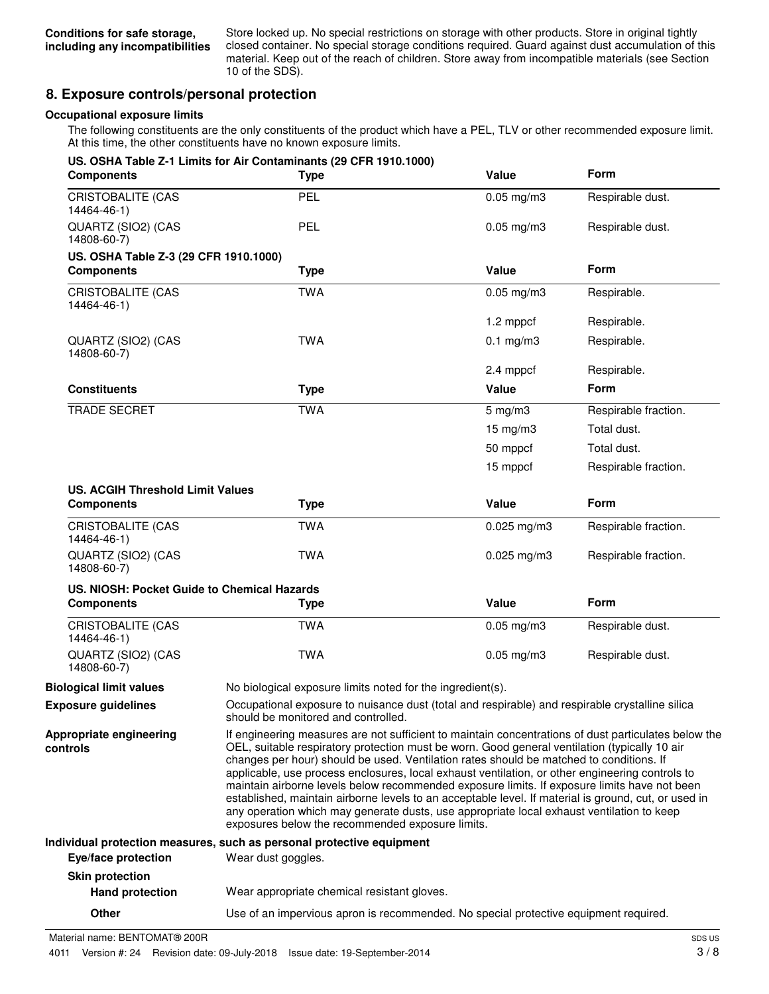Store locked up. No special restrictions on storage with other products. Store in original tightly closed container. No special storage conditions required. Guard against dust accumulation of this material. Keep out of the reach of children. Store away from incompatible materials (see Section 10 of the SDS).

# **8. Exposure controls/personal protection**

#### **Occupational exposure limits**

The following constituents are the only constituents of the product which have a PEL, TLV or other recommended exposure limit. At this time, the other constituents have no known exposure limits.

| <b>Components</b>                           | US. OSHA Table Z-1 Limits for Air Contaminants (29 CFR 1910.1000)<br><b>Type</b>                                                       | Value                                                                                                                                                                                                                                                                                                                                                                                                                                                                                                                                                                                                                                                                                                                                                        | <b>Form</b>          |
|---------------------------------------------|----------------------------------------------------------------------------------------------------------------------------------------|--------------------------------------------------------------------------------------------------------------------------------------------------------------------------------------------------------------------------------------------------------------------------------------------------------------------------------------------------------------------------------------------------------------------------------------------------------------------------------------------------------------------------------------------------------------------------------------------------------------------------------------------------------------------------------------------------------------------------------------------------------------|----------------------|
| <b>CRISTOBALITE (CAS</b><br>14464-46-1)     | PEL                                                                                                                                    | $0.05$ mg/m $3$                                                                                                                                                                                                                                                                                                                                                                                                                                                                                                                                                                                                                                                                                                                                              | Respirable dust.     |
| QUARTZ (SIO2) (CAS<br>14808-60-7)           | <b>PEL</b>                                                                                                                             | $0.05$ mg/m $3$                                                                                                                                                                                                                                                                                                                                                                                                                                                                                                                                                                                                                                                                                                                                              | Respirable dust.     |
| US. OSHA Table Z-3 (29 CFR 1910.1000)       |                                                                                                                                        |                                                                                                                                                                                                                                                                                                                                                                                                                                                                                                                                                                                                                                                                                                                                                              |                      |
| <b>Components</b>                           | <b>Type</b>                                                                                                                            | Value                                                                                                                                                                                                                                                                                                                                                                                                                                                                                                                                                                                                                                                                                                                                                        | <b>Form</b>          |
| CRISTOBALITE (CAS<br>14464-46-1)            | <b>TWA</b>                                                                                                                             | $0.05$ mg/m $3$                                                                                                                                                                                                                                                                                                                                                                                                                                                                                                                                                                                                                                                                                                                                              | Respirable.          |
|                                             |                                                                                                                                        | 1.2 mppcf                                                                                                                                                                                                                                                                                                                                                                                                                                                                                                                                                                                                                                                                                                                                                    | Respirable.          |
| QUARTZ (SIO2) (CAS<br>14808-60-7)           | <b>TWA</b>                                                                                                                             | $0.1$ mg/m $3$                                                                                                                                                                                                                                                                                                                                                                                                                                                                                                                                                                                                                                                                                                                                               | Respirable.          |
|                                             |                                                                                                                                        | 2.4 mppcf                                                                                                                                                                                                                                                                                                                                                                                                                                                                                                                                                                                                                                                                                                                                                    | Respirable.          |
| <b>Constituents</b>                         | <b>Type</b>                                                                                                                            | Value                                                                                                                                                                                                                                                                                                                                                                                                                                                                                                                                                                                                                                                                                                                                                        | <b>Form</b>          |
| <b>TRADE SECRET</b>                         | <b>TWA</b>                                                                                                                             | $5$ mg/m $3$                                                                                                                                                                                                                                                                                                                                                                                                                                                                                                                                                                                                                                                                                                                                                 | Respirable fraction. |
|                                             |                                                                                                                                        | $15 \text{ mg/m}$ 3                                                                                                                                                                                                                                                                                                                                                                                                                                                                                                                                                                                                                                                                                                                                          | Total dust.          |
|                                             |                                                                                                                                        | 50 mppcf                                                                                                                                                                                                                                                                                                                                                                                                                                                                                                                                                                                                                                                                                                                                                     | Total dust.          |
|                                             |                                                                                                                                        | 15 mppcf                                                                                                                                                                                                                                                                                                                                                                                                                                                                                                                                                                                                                                                                                                                                                     | Respirable fraction. |
| <b>US. ACGIH Threshold Limit Values</b>     |                                                                                                                                        |                                                                                                                                                                                                                                                                                                                                                                                                                                                                                                                                                                                                                                                                                                                                                              |                      |
| <b>Components</b>                           | <b>Type</b>                                                                                                                            | Value                                                                                                                                                                                                                                                                                                                                                                                                                                                                                                                                                                                                                                                                                                                                                        | Form                 |
| <b>CRISTOBALITE (CAS</b><br>14464-46-1)     | <b>TWA</b>                                                                                                                             | $0.025$ mg/m3                                                                                                                                                                                                                                                                                                                                                                                                                                                                                                                                                                                                                                                                                                                                                | Respirable fraction. |
| QUARTZ (SIO2) (CAS<br>14808-60-7)           | <b>TWA</b>                                                                                                                             | $0.025$ mg/m $3$                                                                                                                                                                                                                                                                                                                                                                                                                                                                                                                                                                                                                                                                                                                                             | Respirable fraction. |
| US. NIOSH: Pocket Guide to Chemical Hazards |                                                                                                                                        |                                                                                                                                                                                                                                                                                                                                                                                                                                                                                                                                                                                                                                                                                                                                                              |                      |
| <b>Components</b>                           | <b>Type</b>                                                                                                                            | Value                                                                                                                                                                                                                                                                                                                                                                                                                                                                                                                                                                                                                                                                                                                                                        | Form                 |
| <b>CRISTOBALITE (CAS</b><br>14464-46-1)     | <b>TWA</b>                                                                                                                             | $0.05$ mg/m $3$                                                                                                                                                                                                                                                                                                                                                                                                                                                                                                                                                                                                                                                                                                                                              | Respirable dust.     |
| QUARTZ (SIO2) (CAS<br>14808-60-7)           | <b>TWA</b>                                                                                                                             | $0.05$ mg/m $3$                                                                                                                                                                                                                                                                                                                                                                                                                                                                                                                                                                                                                                                                                                                                              | Respirable dust.     |
| <b>Biological limit values</b>              | No biological exposure limits noted for the ingredient(s).                                                                             |                                                                                                                                                                                                                                                                                                                                                                                                                                                                                                                                                                                                                                                                                                                                                              |                      |
| <b>Exposure guidelines</b>                  | Occupational exposure to nuisance dust (total and respirable) and respirable crystalline silica<br>should be monitored and controlled. |                                                                                                                                                                                                                                                                                                                                                                                                                                                                                                                                                                                                                                                                                                                                                              |                      |
| Appropriate engineering<br>controls         |                                                                                                                                        | If engineering measures are not sufficient to maintain concentrations of dust particulates below the<br>OEL, suitable respiratory protection must be worn. Good general ventilation (typically 10 air<br>changes per hour) should be used. Ventilation rates should be matched to conditions. If<br>applicable, use process enclosures, local exhaust ventilation, or other engineering controls to<br>maintain airborne levels below recommended exposure limits. If exposure limits have not been<br>established, maintain airborne levels to an acceptable level. If material is ground, cut, or used in<br>any operation which may generate dusts, use appropriate local exhaust ventilation to keep<br>exposures below the recommended exposure limits. |                      |
|                                             | Individual protection measures, such as personal protective equipment                                                                  |                                                                                                                                                                                                                                                                                                                                                                                                                                                                                                                                                                                                                                                                                                                                                              |                      |
| Eye/face protection                         | Wear dust goggles.                                                                                                                     |                                                                                                                                                                                                                                                                                                                                                                                                                                                                                                                                                                                                                                                                                                                                                              |                      |
| <b>Skin protection</b>                      |                                                                                                                                        |                                                                                                                                                                                                                                                                                                                                                                                                                                                                                                                                                                                                                                                                                                                                                              |                      |
| <b>Hand protection</b>                      | Wear appropriate chemical resistant gloves.                                                                                            |                                                                                                                                                                                                                                                                                                                                                                                                                                                                                                                                                                                                                                                                                                                                                              |                      |

**Other** Use of an impervious apron is recommended. No special protective equipment required.

Material name: BENTOMAT® 200R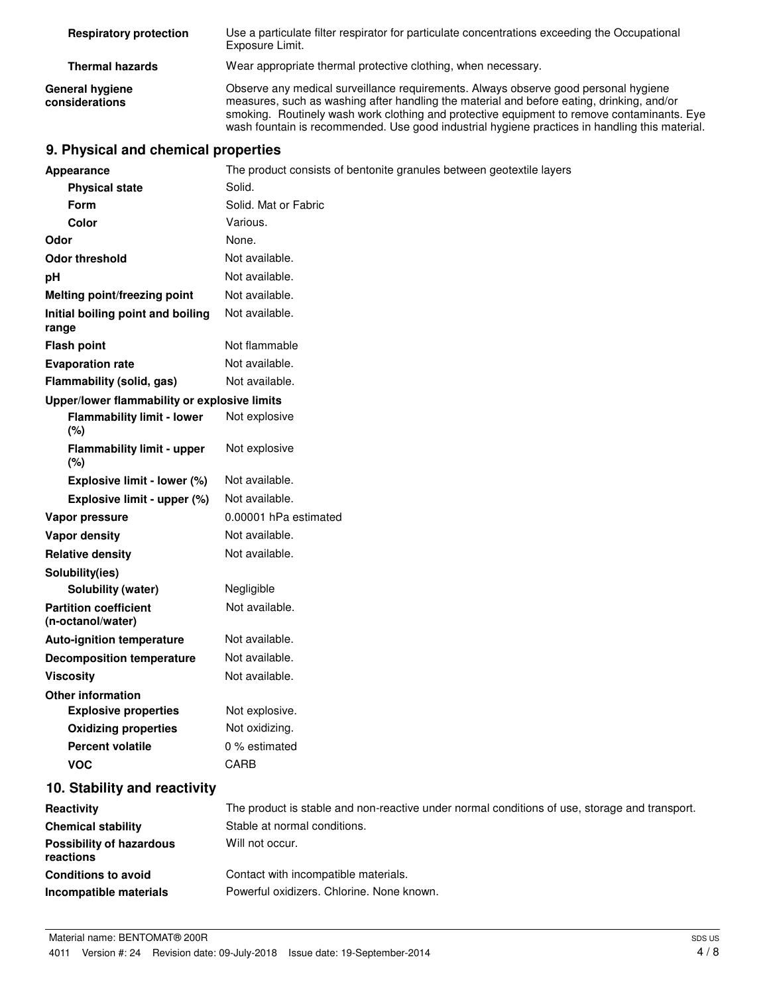| <b>Respiratory protection</b>     | Use a particulate filter respirator for particulate concentrations exceeding the Occupational<br>Exposure Limit.                                                                                                                                                                                                                                                                 |
|-----------------------------------|----------------------------------------------------------------------------------------------------------------------------------------------------------------------------------------------------------------------------------------------------------------------------------------------------------------------------------------------------------------------------------|
| <b>Thermal hazards</b>            | Wear appropriate thermal protective clothing, when necessary.                                                                                                                                                                                                                                                                                                                    |
| General hygiene<br>considerations | Observe any medical surveillance requirements. Always observe good personal hygiene<br>measures, such as washing after handling the material and before eating, drinking, and/or<br>smoking. Routinely wash work clothing and protective equipment to remove contaminants. Eye<br>wash fountain is recommended. Use good industrial hygiene practices in handling this material. |

# **9. Physical and chemical properties**

|                  | Appearance                                        | The product consists of bentonite granules between geotextile layers                          |  |  |
|------------------|---------------------------------------------------|-----------------------------------------------------------------------------------------------|--|--|
|                  | <b>Physical state</b>                             | Solid.                                                                                        |  |  |
|                  | <b>Form</b>                                       | Solid. Mat or Fabric                                                                          |  |  |
|                  | <b>Color</b>                                      | Various.                                                                                      |  |  |
| Odor             |                                                   | None.                                                                                         |  |  |
|                  | <b>Odor threshold</b>                             | Not available.                                                                                |  |  |
| рH               |                                                   | Not available.                                                                                |  |  |
|                  | Melting point/freezing point                      | Not available.                                                                                |  |  |
| range            | Initial boiling point and boiling                 | Not available.                                                                                |  |  |
|                  | <b>Flash point</b>                                | Not flammable                                                                                 |  |  |
|                  | <b>Evaporation rate</b>                           | Not available.                                                                                |  |  |
|                  | Flammability (solid, gas)                         | Not available.                                                                                |  |  |
|                  | Upper/lower flammability or explosive limits      |                                                                                               |  |  |
|                  | <b>Flammability limit - lower</b><br>(%)          | Not explosive                                                                                 |  |  |
|                  | <b>Flammability limit - upper</b><br>(%)          | Not explosive                                                                                 |  |  |
|                  | Explosive limit - lower (%)                       | Not available.                                                                                |  |  |
|                  | Explosive limit - upper (%)                       | Not available.                                                                                |  |  |
|                  | Vapor pressure                                    | 0.00001 hPa estimated                                                                         |  |  |
|                  | <b>Vapor density</b>                              | Not available.                                                                                |  |  |
|                  | <b>Relative density</b>                           | Not available.                                                                                |  |  |
|                  | Solubility(ies)                                   |                                                                                               |  |  |
|                  | <b>Solubility (water)</b>                         | Negligible                                                                                    |  |  |
|                  | <b>Partition coefficient</b><br>(n-octanol/water) | Not available.                                                                                |  |  |
|                  | <b>Auto-ignition temperature</b>                  | Not available.                                                                                |  |  |
|                  | <b>Decomposition temperature</b>                  | Not available.                                                                                |  |  |
| <b>Viscosity</b> |                                                   | Not available.                                                                                |  |  |
|                  | <b>Other information</b>                          |                                                                                               |  |  |
|                  | <b>Explosive properties</b>                       | Not explosive.                                                                                |  |  |
|                  | <b>Oxidizing properties</b>                       | Not oxidizing.                                                                                |  |  |
|                  | <b>Percent volatile</b>                           | 0 % estimated                                                                                 |  |  |
|                  | <b>VOC</b>                                        | <b>CARB</b>                                                                                   |  |  |
|                  | 10. Stability and reactivity                      |                                                                                               |  |  |
| Reactivity       |                                                   | The product is stable and non-reactive under normal conditions of use, storage and transport. |  |  |
|                  | <b>Chemical stability</b>                         | Stable at normal conditions.                                                                  |  |  |
| reactions        | <b>Possibility of hazardous</b>                   | Will not occur.                                                                               |  |  |
|                  | <b>Conditions to avoid</b>                        | Contact with incompatible materials.                                                          |  |  |
|                  | Incompatible materials                            | Powerful oxidizers. Chlorine. None known.                                                     |  |  |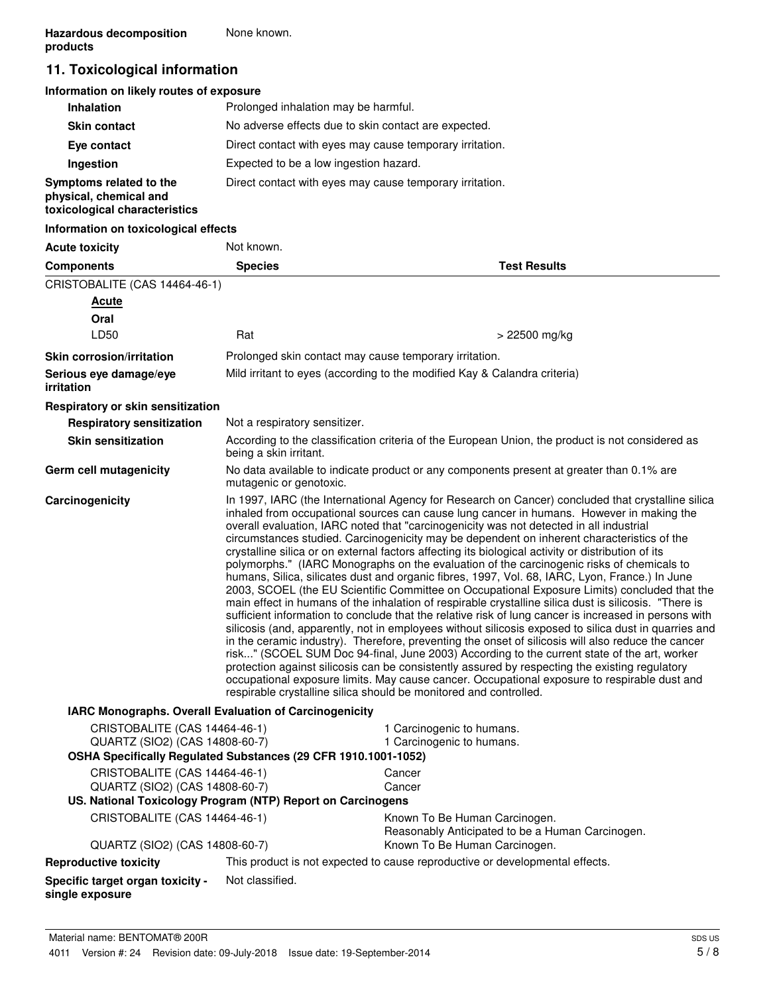# **11. Toxicological information**

# **Information on likely routes of exposure**

| <b>Inhalation</b>                                                                  | Prolonged inhalation may be harmful.                     |
|------------------------------------------------------------------------------------|----------------------------------------------------------|
| <b>Skin contact</b>                                                                | No adverse effects due to skin contact are expected.     |
| Eye contact                                                                        | Direct contact with eyes may cause temporary irritation. |
| Ingestion                                                                          | Expected to be a low ingestion hazard.                   |
| Symptoms related to the<br>physical, chemical and<br>toxicological characteristics | Direct contact with eyes may cause temporary irritation. |

# **Information on toxicological effects**

| <b>Acute toxicity</b>                                                                                                             | Not known.                    |                                                                                                                                                                                                                                                                                                                                                                                                                                                                                                                                                                                                                                                                                                                                                                                                                                                                                                                                                                                                                                                                                                                                                                                                                                                                                                                                                                                                                                                                                                                                                                                                    |
|-----------------------------------------------------------------------------------------------------------------------------------|-------------------------------|----------------------------------------------------------------------------------------------------------------------------------------------------------------------------------------------------------------------------------------------------------------------------------------------------------------------------------------------------------------------------------------------------------------------------------------------------------------------------------------------------------------------------------------------------------------------------------------------------------------------------------------------------------------------------------------------------------------------------------------------------------------------------------------------------------------------------------------------------------------------------------------------------------------------------------------------------------------------------------------------------------------------------------------------------------------------------------------------------------------------------------------------------------------------------------------------------------------------------------------------------------------------------------------------------------------------------------------------------------------------------------------------------------------------------------------------------------------------------------------------------------------------------------------------------------------------------------------------------|
| <b>Components</b>                                                                                                                 | <b>Species</b>                | <b>Test Results</b>                                                                                                                                                                                                                                                                                                                                                                                                                                                                                                                                                                                                                                                                                                                                                                                                                                                                                                                                                                                                                                                                                                                                                                                                                                                                                                                                                                                                                                                                                                                                                                                |
| CRISTOBALITE (CAS 14464-46-1)                                                                                                     |                               |                                                                                                                                                                                                                                                                                                                                                                                                                                                                                                                                                                                                                                                                                                                                                                                                                                                                                                                                                                                                                                                                                                                                                                                                                                                                                                                                                                                                                                                                                                                                                                                                    |
| <b>Acute</b>                                                                                                                      |                               |                                                                                                                                                                                                                                                                                                                                                                                                                                                                                                                                                                                                                                                                                                                                                                                                                                                                                                                                                                                                                                                                                                                                                                                                                                                                                                                                                                                                                                                                                                                                                                                                    |
| Oral                                                                                                                              |                               |                                                                                                                                                                                                                                                                                                                                                                                                                                                                                                                                                                                                                                                                                                                                                                                                                                                                                                                                                                                                                                                                                                                                                                                                                                                                                                                                                                                                                                                                                                                                                                                                    |
| LD50                                                                                                                              | Rat                           | > 22500 mg/kg                                                                                                                                                                                                                                                                                                                                                                                                                                                                                                                                                                                                                                                                                                                                                                                                                                                                                                                                                                                                                                                                                                                                                                                                                                                                                                                                                                                                                                                                                                                                                                                      |
| <b>Skin corrosion/irritation</b>                                                                                                  |                               | Prolonged skin contact may cause temporary irritation.                                                                                                                                                                                                                                                                                                                                                                                                                                                                                                                                                                                                                                                                                                                                                                                                                                                                                                                                                                                                                                                                                                                                                                                                                                                                                                                                                                                                                                                                                                                                             |
| Serious eye damage/eye<br>irritation                                                                                              |                               | Mild irritant to eyes (according to the modified Kay & Calandra criteria)                                                                                                                                                                                                                                                                                                                                                                                                                                                                                                                                                                                                                                                                                                                                                                                                                                                                                                                                                                                                                                                                                                                                                                                                                                                                                                                                                                                                                                                                                                                          |
| Respiratory or skin sensitization                                                                                                 |                               |                                                                                                                                                                                                                                                                                                                                                                                                                                                                                                                                                                                                                                                                                                                                                                                                                                                                                                                                                                                                                                                                                                                                                                                                                                                                                                                                                                                                                                                                                                                                                                                                    |
| <b>Respiratory sensitization</b>                                                                                                  | Not a respiratory sensitizer. |                                                                                                                                                                                                                                                                                                                                                                                                                                                                                                                                                                                                                                                                                                                                                                                                                                                                                                                                                                                                                                                                                                                                                                                                                                                                                                                                                                                                                                                                                                                                                                                                    |
| <b>Skin sensitization</b>                                                                                                         | being a skin irritant.        | According to the classification criteria of the European Union, the product is not considered as                                                                                                                                                                                                                                                                                                                                                                                                                                                                                                                                                                                                                                                                                                                                                                                                                                                                                                                                                                                                                                                                                                                                                                                                                                                                                                                                                                                                                                                                                                   |
| Germ cell mutagenicity                                                                                                            | mutagenic or genotoxic.       | No data available to indicate product or any components present at greater than 0.1% are                                                                                                                                                                                                                                                                                                                                                                                                                                                                                                                                                                                                                                                                                                                                                                                                                                                                                                                                                                                                                                                                                                                                                                                                                                                                                                                                                                                                                                                                                                           |
| Carcinogenicity                                                                                                                   |                               | In 1997, IARC (the International Agency for Research on Cancer) concluded that crystalline silica<br>inhaled from occupational sources can cause lung cancer in humans. However in making the<br>overall evaluation, IARC noted that "carcinogenicity was not detected in all industrial<br>circumstances studied. Carcinogenicity may be dependent on inherent characteristics of the<br>crystalline silica or on external factors affecting its biological activity or distribution of its<br>polymorphs." (IARC Monographs on the evaluation of the carcinogenic risks of chemicals to<br>humans, Silica, silicates dust and organic fibres, 1997, Vol. 68, IARC, Lyon, France.) In June<br>2003, SCOEL (the EU Scientific Committee on Occupational Exposure Limits) concluded that the<br>main effect in humans of the inhalation of respirable crystalline silica dust is silicosis. "There is<br>sufficient information to conclude that the relative risk of lung cancer is increased in persons with<br>silicosis (and, apparently, not in employees without silicosis exposed to silica dust in quarries and<br>in the ceramic industry). Therefore, preventing the onset of silicosis will also reduce the cancer<br>risk" (SCOEL SUM Doc 94-final, June 2003) According to the current state of the art, worker<br>protection against silicosis can be consistently assured by respecting the existing regulatory<br>occupational exposure limits. May cause cancer. Occupational exposure to respirable dust and<br>respirable crystalline silica should be monitored and controlled. |
| IARC Monographs. Overall Evaluation of Carcinogenicity                                                                            |                               |                                                                                                                                                                                                                                                                                                                                                                                                                                                                                                                                                                                                                                                                                                                                                                                                                                                                                                                                                                                                                                                                                                                                                                                                                                                                                                                                                                                                                                                                                                                                                                                                    |
| CRISTOBALITE (CAS 14464-46-1)<br>QUARTZ (SIO2) (CAS 14808-60-7)<br>OSHA Specifically Regulated Substances (29 CFR 1910.1001-1052) |                               | 1 Carcinogenic to humans.<br>1 Carcinogenic to humans.                                                                                                                                                                                                                                                                                                                                                                                                                                                                                                                                                                                                                                                                                                                                                                                                                                                                                                                                                                                                                                                                                                                                                                                                                                                                                                                                                                                                                                                                                                                                             |
| CRISTOBALITE (CAS 14464-46-1)                                                                                                     |                               | Cancer                                                                                                                                                                                                                                                                                                                                                                                                                                                                                                                                                                                                                                                                                                                                                                                                                                                                                                                                                                                                                                                                                                                                                                                                                                                                                                                                                                                                                                                                                                                                                                                             |
| QUARTZ (SIO2) (CAS 14808-60-7)                                                                                                    |                               | Cancer                                                                                                                                                                                                                                                                                                                                                                                                                                                                                                                                                                                                                                                                                                                                                                                                                                                                                                                                                                                                                                                                                                                                                                                                                                                                                                                                                                                                                                                                                                                                                                                             |
| US. National Toxicology Program (NTP) Report on Carcinogens                                                                       |                               |                                                                                                                                                                                                                                                                                                                                                                                                                                                                                                                                                                                                                                                                                                                                                                                                                                                                                                                                                                                                                                                                                                                                                                                                                                                                                                                                                                                                                                                                                                                                                                                                    |
| CRISTOBALITE (CAS 14464-46-1)                                                                                                     |                               | Known To Be Human Carcinogen.<br>Reasonably Anticipated to be a Human Carcinogen.                                                                                                                                                                                                                                                                                                                                                                                                                                                                                                                                                                                                                                                                                                                                                                                                                                                                                                                                                                                                                                                                                                                                                                                                                                                                                                                                                                                                                                                                                                                  |
| QUARTZ (SIO2) (CAS 14808-60-7)                                                                                                    |                               | Known To Be Human Carcinogen.                                                                                                                                                                                                                                                                                                                                                                                                                                                                                                                                                                                                                                                                                                                                                                                                                                                                                                                                                                                                                                                                                                                                                                                                                                                                                                                                                                                                                                                                                                                                                                      |
| <b>Reproductive toxicity</b>                                                                                                      |                               | This product is not expected to cause reproductive or developmental effects.                                                                                                                                                                                                                                                                                                                                                                                                                                                                                                                                                                                                                                                                                                                                                                                                                                                                                                                                                                                                                                                                                                                                                                                                                                                                                                                                                                                                                                                                                                                       |
| Specific target organ toxicity -<br>single exposure                                                                               | Not classified.               |                                                                                                                                                                                                                                                                                                                                                                                                                                                                                                                                                                                                                                                                                                                                                                                                                                                                                                                                                                                                                                                                                                                                                                                                                                                                                                                                                                                                                                                                                                                                                                                                    |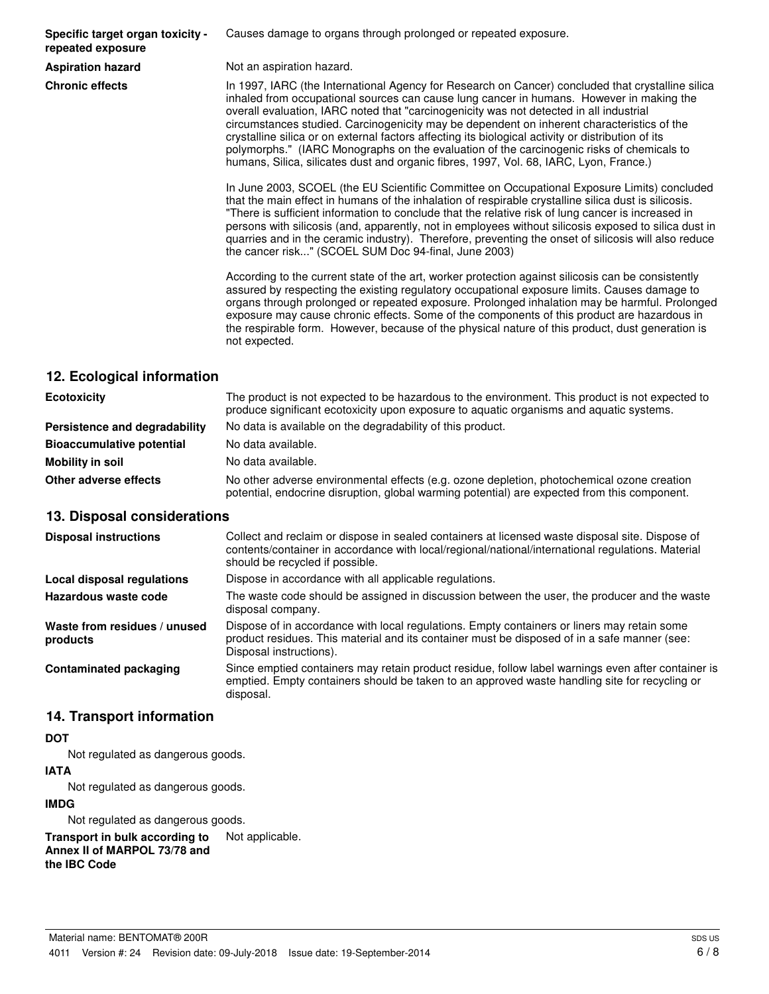**Specific target organ toxicity repeated exposure**

Causes damage to organs through prolonged or repeated exposure.

**Aspiration hazard** Not an aspiration hazard.

**Chronic effects** In 1997, IARC (the International Agency for Research on Cancer) concluded that crystalline silica inhaled from occupational sources can cause lung cancer in humans. However in making the overall evaluation, IARC noted that "carcinogenicity was not detected in all industrial circumstances studied. Carcinogenicity may be dependent on inherent characteristics of the crystalline silica or on external factors affecting its biological activity or distribution of its polymorphs." (IARC Monographs on the evaluation of the carcinogenic risks of chemicals to humans, Silica, silicates dust and organic fibres, 1997, Vol. 68, IARC, Lyon, France.)

> In June 2003, SCOEL (the EU Scientific Committee on Occupational Exposure Limits) concluded that the main effect in humans of the inhalation of respirable crystalline silica dust is silicosis. "There is sufficient information to conclude that the relative risk of lung cancer is increased in persons with silicosis (and, apparently, not in employees without silicosis exposed to silica dust in quarries and in the ceramic industry). Therefore, preventing the onset of silicosis will also reduce the cancer risk..." (SCOEL SUM Doc 94-final, June 2003)

> According to the current state of the art, worker protection against silicosis can be consistently assured by respecting the existing regulatory occupational exposure limits. Causes damage to organs through prolonged or repeated exposure. Prolonged inhalation may be harmful. Prolonged exposure may cause chronic effects. Some of the components of this product are hazardous in the respirable form. However, because of the physical nature of this product, dust generation is not expected.

# **12. Ecological information**

| <b>Ecotoxicity</b>               | The product is not expected to be hazardous to the environment. This product is not expected to<br>produce significant ecotoxicity upon exposure to aquatic organisms and aquatic systems. |
|----------------------------------|--------------------------------------------------------------------------------------------------------------------------------------------------------------------------------------------|
| Persistence and degradability    | No data is available on the degradability of this product.                                                                                                                                 |
| <b>Bioaccumulative potential</b> | No data available.                                                                                                                                                                         |
| Mobility in soil                 | No data available.                                                                                                                                                                         |
| Other adverse effects            | No other adverse environmental effects (e.g. ozone depletion, photochemical ozone creation<br>potential, endocrine disruption, global warming potential) are expected from this component. |

# **13. Disposal considerations**

| <b>Disposal instructions</b>             | Collect and reclaim or dispose in sealed containers at licensed waste disposal site. Dispose of<br>contents/container in accordance with local/regional/national/international regulations. Material<br>should be recycled if possible. |
|------------------------------------------|-----------------------------------------------------------------------------------------------------------------------------------------------------------------------------------------------------------------------------------------|
| Local disposal regulations               | Dispose in accordance with all applicable regulations.                                                                                                                                                                                  |
| Hazardous waste code                     | The waste code should be assigned in discussion between the user, the producer and the waste<br>disposal company.                                                                                                                       |
| Waste from residues / unused<br>products | Dispose of in accordance with local regulations. Empty containers or liners may retain some<br>product residues. This material and its container must be disposed of in a safe manner (see:<br>Disposal instructions).                  |
| <b>Contaminated packaging</b>            | Since emptied containers may retain product residue, follow label warnings even after container is<br>emptied. Empty containers should be taken to an approved waste handling site for recycling or<br>disposal.                        |

# **14. Transport information**

#### **DOT**

Not regulated as dangerous goods.

#### **IATA**

Not regulated as dangerous goods.

#### **IMDG**

Not regulated as dangerous goods.

**Transport in bulk according to** Not applicable. **Annex II of MARPOL 73/78 and the IBC Code**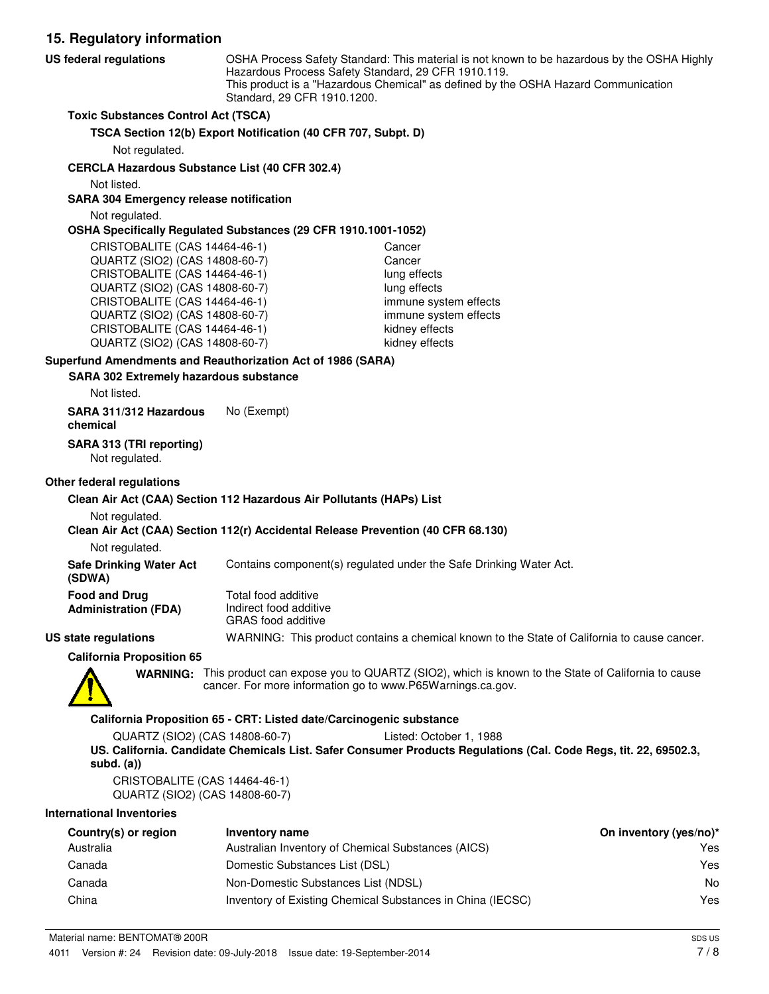**15. Regulatory information** OSHA Process Safety Standard: This material is not known to be hazardous by the OSHA Highly Hazardous Process Safety Standard, 29 CFR 1910.119. This product is a "Hazardous Chemical" as defined by the OSHA Hazard Communication Standard, 29 CFR 1910.1200. **US federal regulations Toxic Substances Control Act (TSCA) TSCA Section 12(b) Export Notification (40 CFR 707, Subpt. D)** Not regulated. **CERCLA Hazardous Substance List (40 CFR 302.4)** Not listed. **SARA 304 Emergency release notification** Not regulated. **OSHA Specifically Regulated Substances (29 CFR 1910.1001-1052)** CRISTOBALITE (CAS 14464-46-1) Cancer QUARTZ (SIO2) (CAS 14808-60-7) Cancer CRISTOBALITE (CAS 14464-46-1) lung effects QUARTZ (SIO2) (CAS 14808-60-7) lung effects CRISTOBALITE (CAS 14464-46-1) immune system effects QUARTZ (SIO2) (CAS 14808-60-7) immune system effects CRISTOBALITE (CAS 14464-46-1) kidney effects QUARTZ (SIO2) (CAS 14808-60-7) kidney effects **SARA 302 Extremely hazardous substance Superfund Amendments and Reauthorization Act of 1986 (SARA)** Not listed. **SARA 311/312 Hazardous** No (Exempt) **chemical**

**SARA 313 (TRI reporting)**

Not regulated.

# **Other federal regulations**

#### **Clean Air Act (CAA) Section 112 Hazardous Air Pollutants (HAPs) List**

Not regulated.

#### **Clean Air Act (CAA) Section 112(r) Accidental Release Prevention (40 CFR 68.130)**

Not regulated.

**Safe Drinking Water Act** Contains component(s) regulated under the Safe Drinking Water Act.

| <b>Food and Drug</b>        |  |
|-----------------------------|--|
| <b>Administration (FDA)</b> |  |

Total food additive Indirect food additive GRAS food additive

**US state regulations** WARNING: This product contains a chemical known to the State of California to cause cancer.

**California Proposition 65**



**(SDWA)**

WARNING: This product can expose you to QUARTZ (SIO2), which is known to the State of California to cause cancer. For more information go to www.P65Warnings.ca.gov.

#### **California Proposition 65 - CRT: Listed date/Carcinogenic substance**

QUARTZ (SIO2) (CAS 14808-60-7) Listed: October 1, 1988 **US. California. Candidate Chemicals List. Safer Consumer Products Regulations (Cal. Code Regs, tit. 22, 69502.3, subd. (a))**

CRISTOBALITE (CAS 14464-46-1) QUARTZ (SIO2) (CAS 14808-60-7)

#### **International Inventories**

| Country(s) or region | Inventory name                                             | On inventory (yes/no)* |
|----------------------|------------------------------------------------------------|------------------------|
| Australia            | Australian Inventory of Chemical Substances (AICS)         | Yes                    |
| Canada               | Domestic Substances List (DSL)                             | Yes                    |
| Canada               | Non-Domestic Substances List (NDSL)                        | No                     |
| China                | Inventory of Existing Chemical Substances in China (IECSC) | Yes                    |